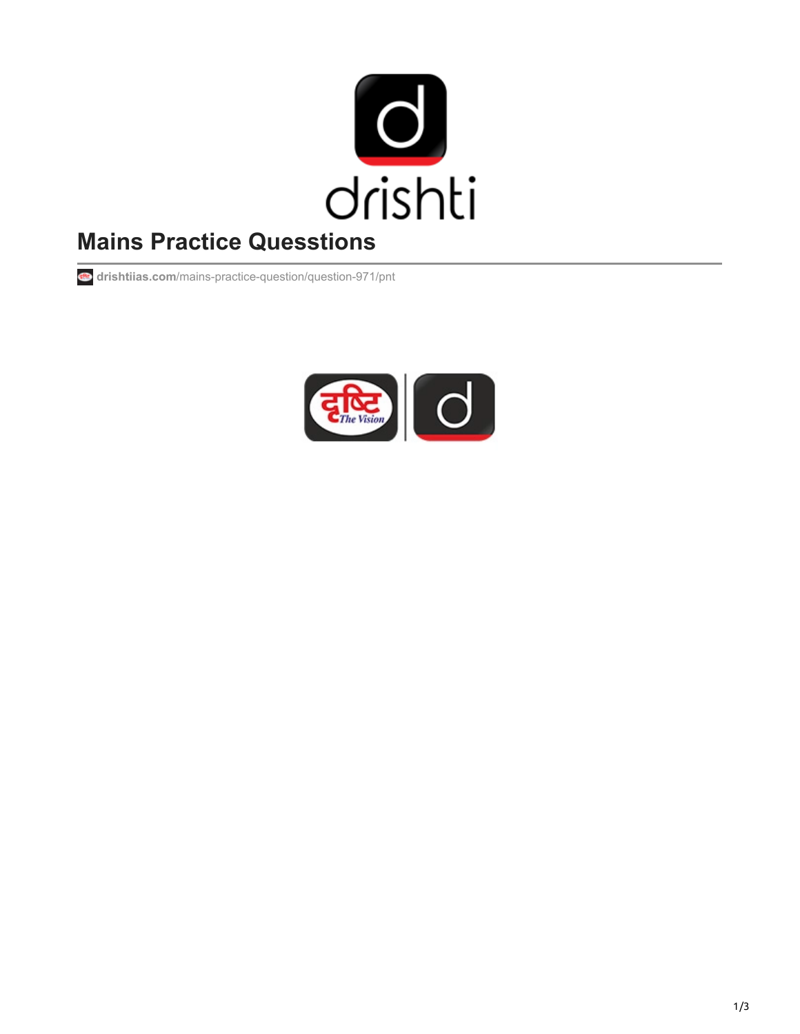

# **Mains Practice Quesstions**

**drishtiias.com**[/mains-practice-question/question-971/pnt](https://www.drishtiias.com/mains-practice-question/question-971/pnt)

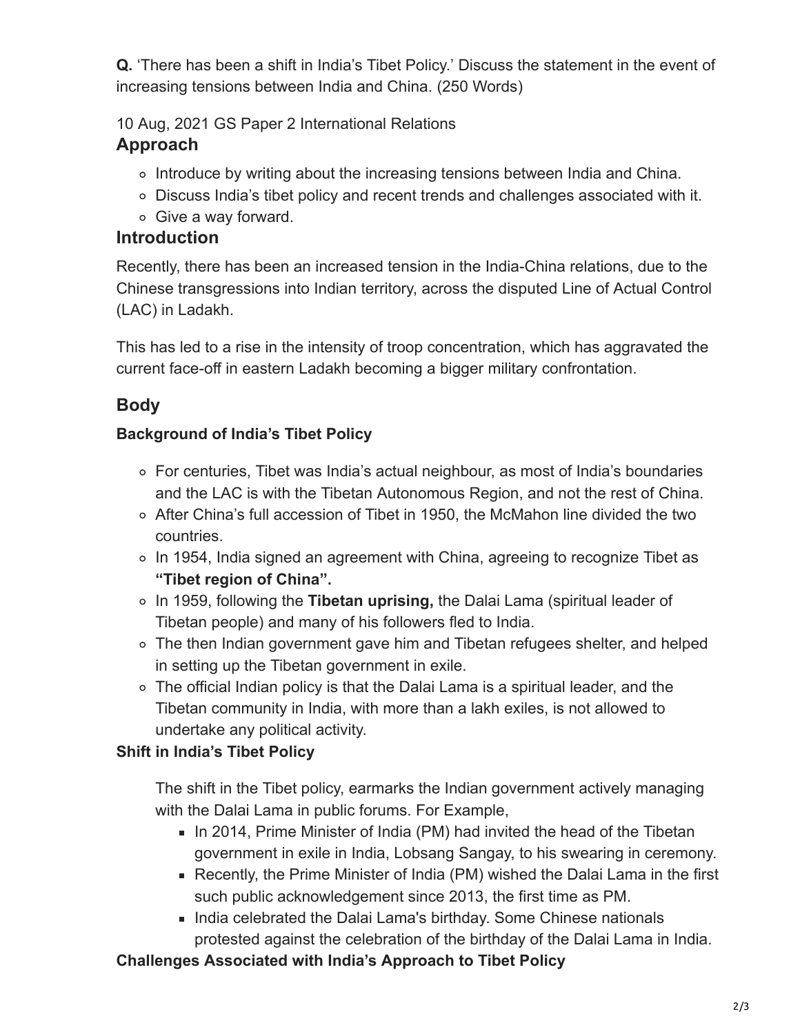**Q.** 'There has been a shift in India's Tibet Policy.' Discuss the statement in the event of increasing tensions between India and China. (250 Words)

10 Aug, 2021 GS Paper 2 International Relations

### **Approach**

- o Introduce by writing about the increasing tensions between India and China.
- Discuss India's tibet policy and recent trends and challenges associated with it.
- Give a way forward.

#### **Introduction**

Recently, there has been an increased tension in the India-China relations, due to the Chinese transgressions into Indian territory, across the disputed Line of Actual Control (LAC) in Ladakh.

This has led to a rise in the intensity of troop concentration, which has aggravated the current face-off in eastern Ladakh becoming a bigger military confrontation.

## **Body**

#### **Background of India's Tibet Policy**

- For centuries, Tibet was India's actual neighbour, as most of India's boundaries and the LAC is with the Tibetan Autonomous Region, and not the rest of China.
- After China's full accession of Tibet in 1950, the McMahon line divided the two countries.
- In 1954, India signed an agreement with China, agreeing to recognize Tibet as **"Tibet region of China".**
- In 1959, following the **Tibetan uprising,** the Dalai Lama (spiritual leader of Tibetan people) and many of his followers fled to India.
- The then Indian government gave him and Tibetan refugees shelter, and helped in setting up the Tibetan government in exile.
- The official Indian policy is that the Dalai Lama is a spiritual leader, and the Tibetan community in India, with more than a lakh exiles, is not allowed to undertake any political activity.

#### **Shift in India's Tibet Policy**

The shift in the Tibet policy, earmarks the Indian government actively managing with the Dalai Lama in public forums. For Example,

- In 2014, Prime Minister of India (PM) had invited the head of the Tibetan government in exile in India, Lobsang Sangay, to his swearing in ceremony.
- Recently, the Prime Minister of India (PM) wished the Dalai Lama in the first such public acknowledgement since 2013, the first time as PM.
- India celebrated the Dalai Lama's birthday. Some Chinese nationals protested against the celebration of the birthday of the Dalai Lama in India.

#### **Challenges Associated with India's Approach to Tibet Policy**